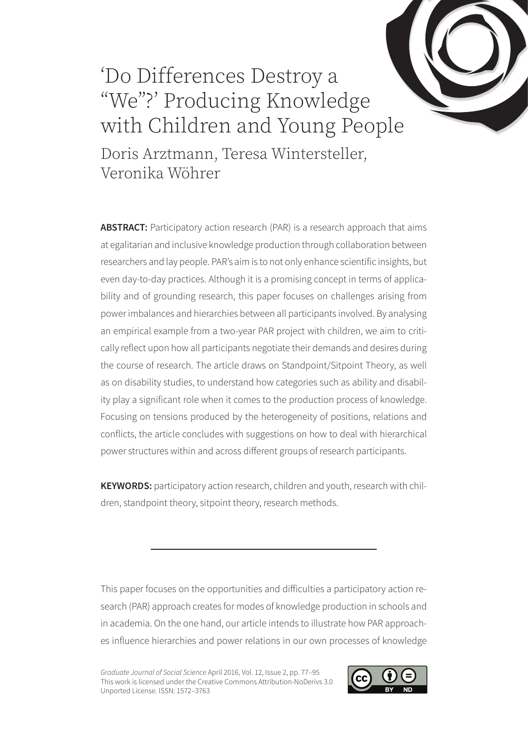# 'Do Differences Destroy a "We"?' Producing Knowledge with Children and Young People

Doris Arztmann, Teresa Wintersteller, Veronika Wöhrer

ABSTRACT: Participatory action research (PAR) is a research approach that aims at egalitarian and inclusive knowledge production through collaboration between researchers and lay people. PAR's aim is to not only enhance scientific insights, but even day-to-day practices. Although it is a promising concept in terms of applicability and of grounding research, this paper focuses on challenges arising from power imbalances and hierarchies between all participants involved. By analysing an empirical example from a two-year PAR project with children, we aim to critically reflect upon how all participants negotiate their demands and desires during the course of research. The article draws on Standpoint/Sitpoint Theory, as well as on disability studies, to understand how categories such as ability and disability play a significant role when it comes to the production process of knowledge. Focusing on tensions produced by the heterogeneity of positions, relations and conflicts, the article concludes with suggestions on how to deal with hierarchical power structures within and across different groups of research participants.

**KEYWORDS:** participatory action research, children and youth, research with children, standpoint theory, sitpoint theory, research methods.

This paper focuses on the opportunities and difficulties a participatory action research (PAR) approach creates for modes of knowledge production in schools and in academia. On the one hand, our article intends to illustrate how PAR approaches influence hierarchies and power relations in our own processes of knowledge

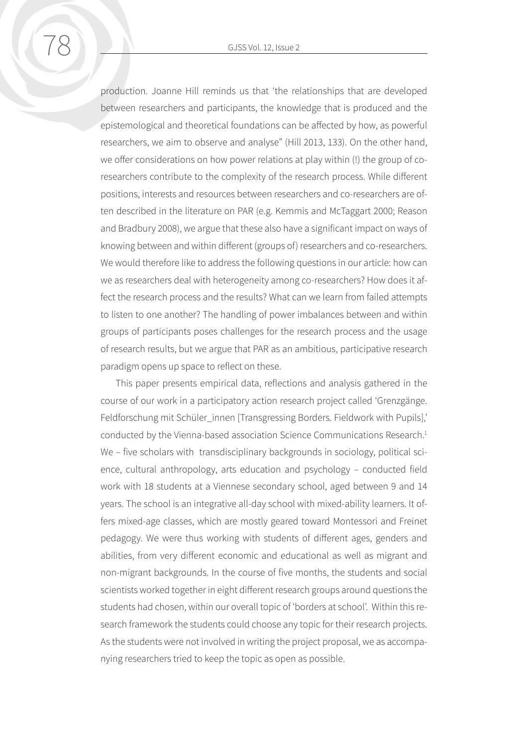production. Joanne Hill reminds us that 'the relationships that are developed between researchers and participants, the knowledge that is produced and the epistemological and theoretical foundations can be affected by how, as powerful researchers, we aim to observe and analyse" (Hill 2013, 133). On the other hand, we offer considerations on how power relations at play within (!) the group of coresearchers contribute to the complexity of the research process. While different positions, interests and resources between researchers and co-researchers are often described in the literature on PAR (e.g. Kemmis and McTaggart 2000; Reason and Bradbury 2008), we argue that these also have a significant impact on ways of knowing between and within different (groups of) researchers and co-researchers. We would therefore like to address the following questions in our article: how can we as researchers deal with heterogeneity among co-researchers? How does it affect the research process and the results? What can we learn from failed attempts to listen to one another? The handling of power imbalances between and within groups of participants poses challenges for the research process and the usage of research results, but we argue that PAR as an ambitious, participative research paradigm opens up space to reflect on these.

This paper presents empirical data, reflections and analysis gathered in the course of our work in a participatory action research project called 'Grenzgänge. Feldforschung mit Schüler\_innen [Transgressing Borders. Fieldwork with Pupils],' conducted by the Vienna-based association Science Communications Research.<sup>1</sup> We – five scholars with transdisciplinary backgrounds in sociology, political science, cultural anthropology, arts education and psychology – conducted field work with 18 students at a Viennese secondary school, aged between 9 and 14 years. The school is an integrative all-day school with mixed-ability learners. It offers mixed-age classes, which are mostly geared toward Montessori and Freinet pedagogy. We were thus working with students of different ages, genders and abilities, from very different economic and educational as well as migrant and non-migrant backgrounds. In the course of five months, the students and social scientists worked together in eight different research groups around questions the students had chosen, within our overall topic of 'borders at school'. Within this research framework the students could choose any topic for their research projects. As the students were not involved in writing the project proposal, we as accompanying researchers tried to keep the topic as open as possible.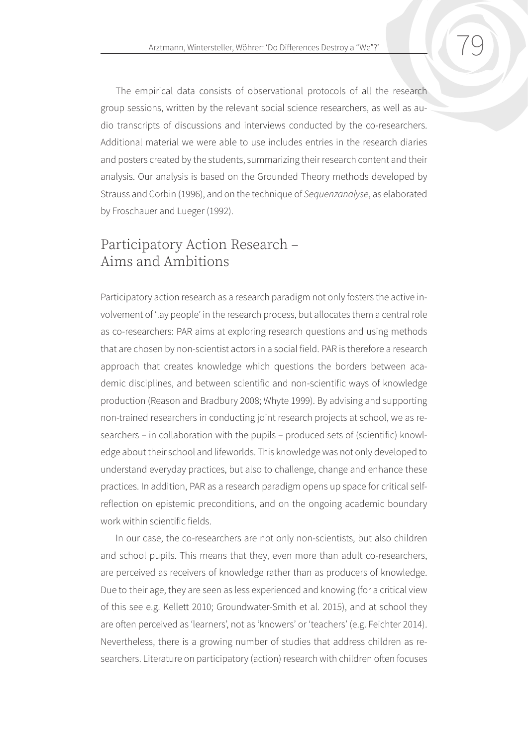The empirical data consists of observational protocols of all the research group sessions, written by the relevant social science researchers, as well as audio transcripts of discussions and interviews conducted by the co-researchers. Additional material we were able to use includes entries in the research diaries and posters created by the students, summarizing their research content and their analysis. Our analysis is based on the Grounded Theory methods developed by Strauss and Corbin (1996), and on the technique of *Sequenzanalyse*, as elaborated by Froschauer and Lueger (1992).

## Participatory Action Research – Aims and Ambitions

Participatory action research as a research paradigm not only fosters the active involvement of 'lay people' in the research process, but allocates them a central role as co-researchers: PAR aims at exploring research questions and using methods that are chosen by non-scientist actors in a social field. PAR is therefore a research approach that creates knowledge which questions the borders between academic disciplines, and between scientific and non-scientific ways of knowledge production (Reason and Bradbury 2008; Whyte 1999). By advising and supporting non-trained researchers in conducting joint research projects at school, we as researchers – in collaboration with the pupils – produced sets of (scientific) knowledge about their school and lifeworlds. This knowledge was not only developed to understand everyday practices, but also to challenge, change and enhance these practices. In addition, PAR as a research paradigm opens up space for critical selfreflection on epistemic preconditions, and on the ongoing academic boundary work within scientific fields.

In our case, the co-researchers are not only non-scientists, but also children and school pupils. This means that they, even more than adult co-researchers, are perceived as receivers of knowledge rather than as producers of knowledge. Due to their age, they are seen as less experienced and knowing (for a critical view of this see e.g. Kellett 2010; Groundwater-Smith et al. 2015), and at school they are often perceived as 'learners', not as 'knowers' or 'teachers' (e.g. Feichter 2014). Nevertheless, there is a growing number of studies that address children as researchers. Literature on participatory (action) research with children often focuses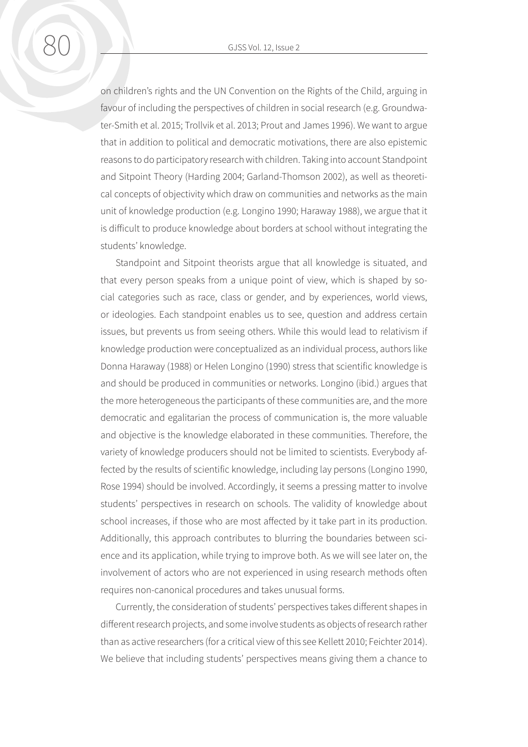80 GJSS Vol. 12, Issue 2

on children's rights and the UN Convention on the Rights of the Child, arguing in favour of including the perspectives of children in social research (e.g. Groundwater-Smith et al. 2015; Trollvik et al. 2013; Prout and James 1996). We want to argue that in addition to political and democratic motivations, there are also epistemic reasons to do participatory research with children. Taking into account Standpoint and Sitpoint Theory (Harding 2004; Garland-Thomson 2002), as well as theoretical concepts of objectivity which draw on communities and networks as the main unit of knowledge production (e.g. Longino 1990; Haraway 1988), we argue that it is difficult to produce knowledge about borders at school without integrating the students' knowledge.

Standpoint and Sitpoint theorists argue that all knowledge is situated, and that every person speaks from a unique point of view, which is shaped by social categories such as race, class or gender, and by experiences, world views, or ideologies. Each standpoint enables us to see, question and address certain issues, but prevents us from seeing others. While this would lead to relativism if knowledge production were conceptualized as an individual process, authors like Donna Haraway (1988) or Helen Longino (1990) stress that scientific knowledge is and should be produced in communities or networks. Longino (ibid.) argues that the more heterogeneous the participants of these communities are, and the more democratic and egalitarian the process of communication is, the more valuable and objective is the knowledge elaborated in these communities. Therefore, the variety of knowledge producers should not be limited to scientists. Everybody affected by the results of scientific knowledge, including lay persons (Longino 1990, Rose 1994) should be involved. Accordingly, it seems a pressing matter to involve students' perspectives in research on schools. The validity of knowledge about school increases, if those who are most affected by it take part in its production. Additionally, this approach contributes to blurring the boundaries between science and its application, while trying to improve both. As we will see later on, the involvement of actors who are not experienced in using research methods often requires non-canonical procedures and takes unusual forms.

Currently, the consideration of students' perspectives takes different shapes in different research projects, and some involve students as objects of research rather than as active researchers (for a critical view of this see Kellett 2010; Feichter 2014). We believe that including students' perspectives means giving them a chance to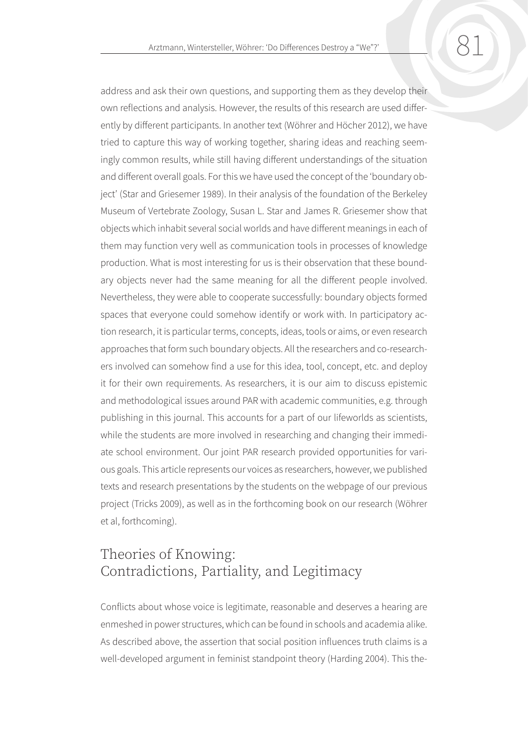address and ask their own questions, and supporting them as they develop their own reflections and analysis. However, the results of this research are used differently by different participants. In another text (Wöhrer and Höcher 2012), we have tried to capture this way of working together, sharing ideas and reaching seemingly common results, while still having different understandings of the situation and different overall goals. For this we have used the concept of the 'boundary object' (Star and Griesemer 1989). In their analysis of the foundation of the Berkeley Museum of Vertebrate Zoology, Susan L. Star and James R. Griesemer show that objects which inhabit several social worlds and have different meanings in each of them may function very well as communication tools in processes of knowledge production. What is most interesting for us is their observation that these boundary objects never had the same meaning for all the different people involved. Nevertheless, they were able to cooperate successfully: boundary objects formed spaces that everyone could somehow identify or work with. In participatory action research, it is particular terms, concepts, ideas, tools or aims, or even research approaches that form such boundary objects. All the researchers and co-researchers involved can somehow find a use for this idea, tool, concept, etc. and deploy it for their own requirements. As researchers, it is our aim to discuss epistemic and methodological issues around PAR with academic communities, e.g. through publishing in this journal. This accounts for a part of our lifeworlds as scientists, while the students are more involved in researching and changing their immediate school environment. Our joint PAR research provided opportunities for various goals. This article represents our voices as researchers, however, we published texts and research presentations by the students on the webpage of our previous project (Tricks 2009), as well as in the forthcoming book on our research (Wöhrer et al, forthcoming).

## Theories of Knowing: Contradictions, Partiality, and Legitimacy

Conflicts about whose voice is legitimate, reasonable and deserves a hearing are enmeshed in power structures, which can be found in schools and academia alike. As described above, the assertion that social position influences truth claims is a well-developed argument in feminist standpoint theory (Harding 2004). This the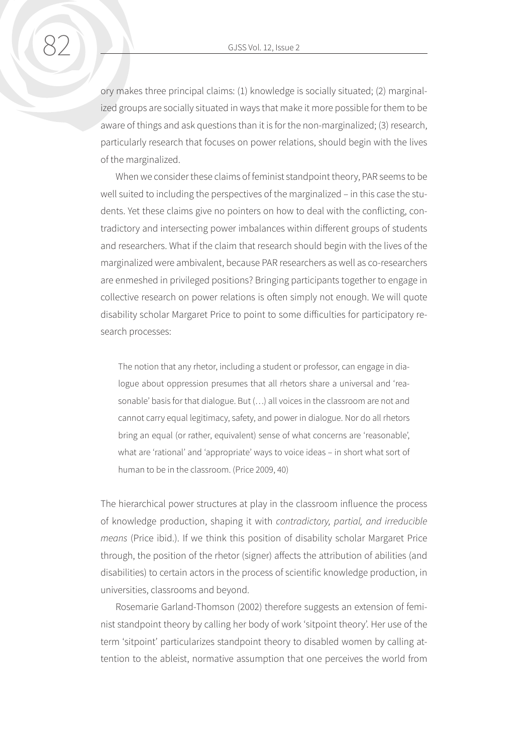ory makes three principal claims: (1) knowledge is socially situated; (2) marginalized groups are socially situated in ways that make it more possible for them to be aware of things and ask questions than it is for the non-marginalized; (3) research, particularly research that focuses on power relations, should begin with the lives of the marginalized.

When we consider these claims of feminist standpoint theory, PAR seems to be well suited to including the perspectives of the marginalized – in this case the students. Yet these claims give no pointers on how to deal with the conflicting, contradictory and intersecting power imbalances within different groups of students and researchers. What if the claim that research should begin with the lives of the marginalized were ambivalent, because PAR researchers as well as co-researchers are enmeshed in privileged positions? Bringing participants together to engage in collective research on power relations is often simply not enough. We will quote disability scholar Margaret Price to point to some difficulties for participatory research processes:

The notion that any rhetor, including a student or professor, can engage in dialogue about oppression presumes that all rhetors share a universal and 'reasonable' basis for that dialogue. But (…) all voices in the classroom are not and cannot carry equal legitimacy, safety, and power in dialogue. Nor do all rhetors bring an equal (or rather, equivalent) sense of what concerns are 'reasonable', what are 'rational' and 'appropriate' ways to voice ideas – in short what sort of human to be in the classroom. (Price 2009, 40)

The hierarchical power structures at play in the classroom influence the process of knowledge production, shaping it with *contradictory, partial, and irreducible means* (Price ibid.). If we think this position of disability scholar Margaret Price through, the position of the rhetor (signer) affects the attribution of abilities (and disabilities) to certain actors in the process of scientific knowledge production, in universities, classrooms and beyond.

Rosemarie Garland-Thomson (2002) therefore suggests an extension of feminist standpoint theory by calling her body of work 'sitpoint theory'. Her use of the term 'sitpoint' particularizes standpoint theory to disabled women by calling attention to the ableist, normative assumption that one perceives the world from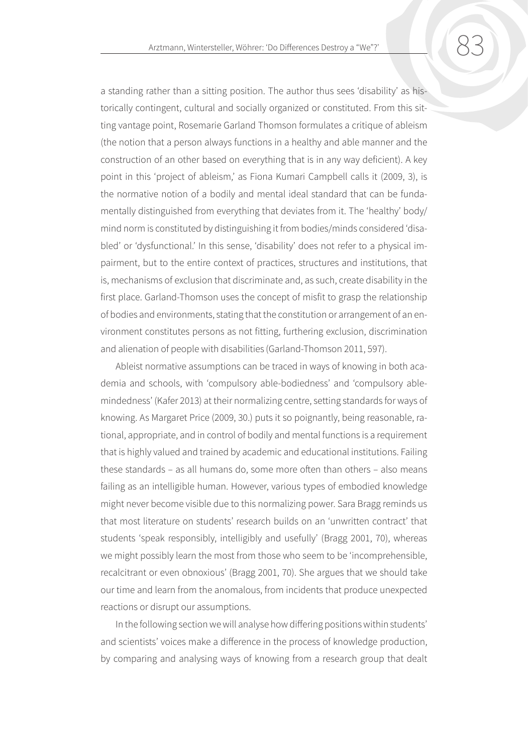a standing rather than a sitting position. The author thus sees 'disability' as historically contingent, cultural and socially organized or constituted. From this sitting vantage point, Rosemarie Garland Thomson formulates a critique of ableism (the notion that a person always functions in a healthy and able manner and the construction of an other based on everything that is in any way deficient). A key point in this 'project of ableism,' as Fiona Kumari Campbell calls it (2009, 3), is the normative notion of a bodily and mental ideal standard that can be fundamentally distinguished from everything that deviates from it. The 'healthy' body/ mind norm is constituted by distinguishing it from bodies/minds considered 'disabled' or 'dysfunctional.' In this sense, 'disability' does not refer to a physical impairment, but to the entire context of practices, structures and institutions, that is, mechanisms of exclusion that discriminate and, as such, create disability in the first place. Garland-Thomson uses the concept of misfit to grasp the relationship of bodies and environments, stating that the constitution or arrangement of an environment constitutes persons as not fitting, furthering exclusion, discrimination and alienation of people with disabilities (Garland-Thomson 2011, 597).

Ableist normative assumptions can be traced in ways of knowing in both academia and schools, with 'compulsory able-bodiedness' and 'compulsory ablemindedness' (Kafer 2013) at their normalizing centre, setting standards for ways of knowing. As Margaret Price (2009, 30.) puts it so poignantly, being reasonable, rational, appropriate, and in control of bodily and mental functions is a requirement that is highly valued and trained by academic and educational institutions. Failing these standards – as all humans do, some more often than others – also means failing as an intelligible human. However, various types of embodied knowledge might never become visible due to this normalizing power. Sara Bragg reminds us that most literature on students' research builds on an 'unwritten contract' that students 'speak responsibly, intelligibly and usefully' (Bragg 2001, 70), whereas we might possibly learn the most from those who seem to be 'incomprehensible, recalcitrant or even obnoxious' (Bragg 2001, 70). She argues that we should take our time and learn from the anomalous, from incidents that produce unexpected reactions or disrupt our assumptions.

In the following section we will analyse how differing positions within students' and scientists' voices make a difference in the process of knowledge production, by comparing and analysing ways of knowing from a research group that dealt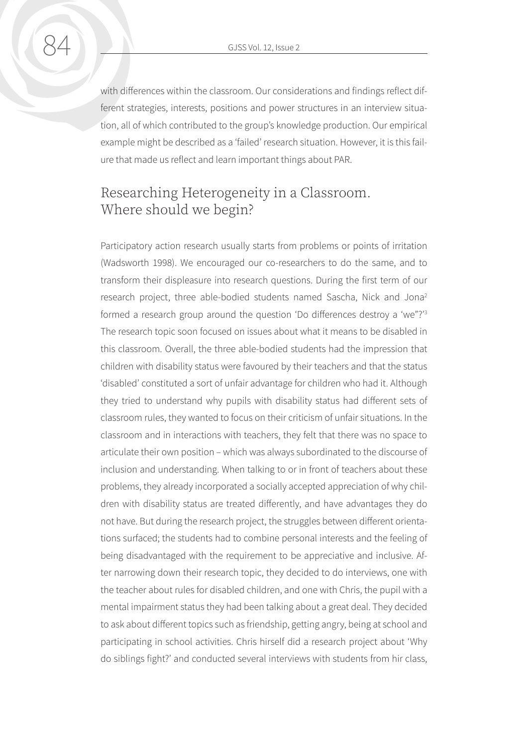with differences within the classroom. Our considerations and findings reflect different strategies, interests, positions and power structures in an interview situation, all of which contributed to the group's knowledge production. Our empirical example might be described as a 'failed' research situation. However, it is this failure that made us reflect and learn important things about PAR.

## Researching Heterogeneity in a Classroom. Where should we begin?

Participatory action research usually starts from problems or points of irritation (Wadsworth 1998). We encouraged our co-researchers to do the same, and to transform their displeasure into research questions. During the first term of our research project, three able-bodied students named Sascha, Nick and Jona2 formed a research group around the question 'Do differences destroy a 'we"?'3 The research topic soon focused on issues about what it means to be disabled in this classroom. Overall, the three able-bodied students had the impression that children with disability status were favoured by their teachers and that the status 'disabled' constituted a sort of unfair advantage for children who had it. Although they tried to understand why pupils with disability status had different sets of classroom rules, they wanted to focus on their criticism of unfair situations. In the classroom and in interactions with teachers, they felt that there was no space to articulate their own position – which was always subordinated to the discourse of inclusion and understanding. When talking to or in front of teachers about these problems, they already incorporated a socially accepted appreciation of why children with disability status are treated differently, and have advantages they do not have. But during the research project, the struggles between different orientations surfaced; the students had to combine personal interests and the feeling of being disadvantaged with the requirement to be appreciative and inclusive. After narrowing down their research topic, they decided to do interviews, one with the teacher about rules for disabled children, and one with Chris, the pupil with a mental impairment status they had been talking about a great deal. They decided to ask about different topics such as friendship, getting angry, being at school and participating in school activities. Chris hirself did a research project about 'Why do siblings fight?' and conducted several interviews with students from hir class,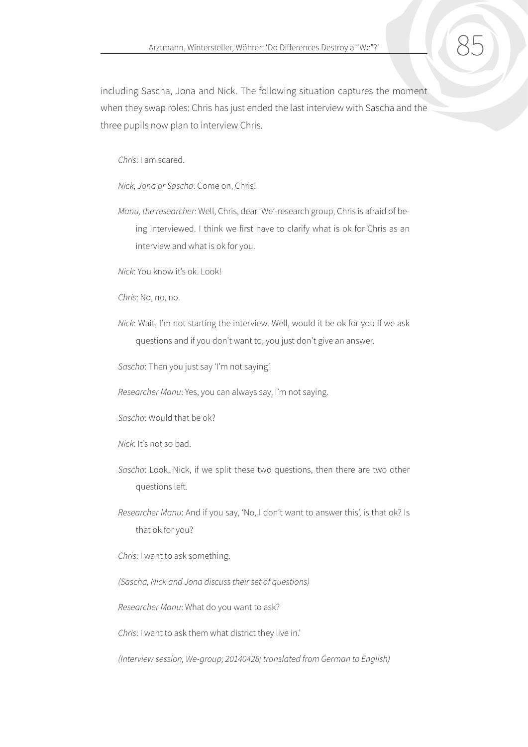including Sascha, Jona and Nick. The following situation captures the moment when they swap roles: Chris has just ended the last interview with Sascha and the three pupils now plan to interview Chris.

*Chris*: I am scared.

*Nick, Jona or Sascha*: Come on, Chris!

*Manu, the researcher*: Well, Chris, dear 'We'-research group, Chris is afraid of being interviewed. I think we first have to clarify what is ok for Chris as an interview and what is ok for you.

*Nick*: You know it's ok. Look!

*Chris*: No, no, no.

*Nick*: Wait, I'm not starting the interview. Well, would it be ok for you if we ask questions and if you don't want to, you just don't give an answer.

*Sascha*: Then you just say 'I'm not saying'.

*Researcher Manu*: Yes, you can always say, I'm not saying.

*Sascha*: Would that be ok?

- *Nick*: It's not so bad.
- *Sascha*: Look, Nick, if we split these two questions, then there are two other questions left.
- *Researcher Manu*: And if you say, 'No, I don't want to answer this', is that ok? Is that ok for you?

*Chris*: I want to ask something.

*(Sascha, Nick and Jona discuss their set of questions)*

*Researcher Manu*: What do you want to ask?

*Chris*: I want to ask them what district they live in.'

*(Interview session, We-group; 20140428; translated from German to English)*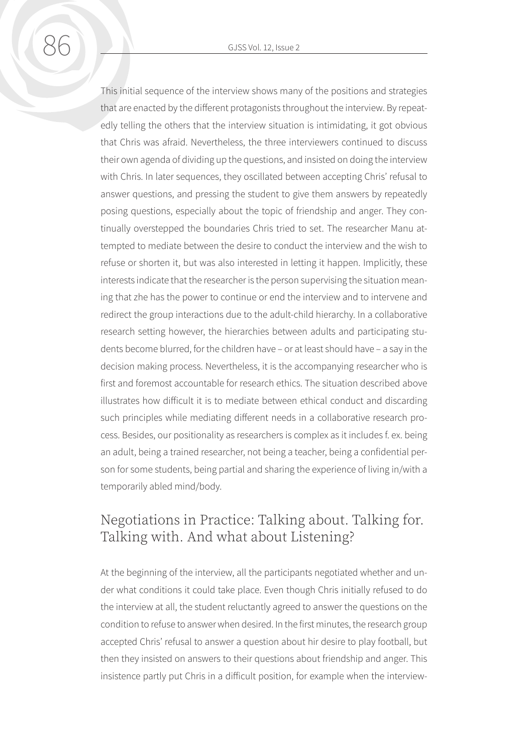This initial sequence of the interview shows many of the positions and strategies that are enacted by the different protagonists throughout the interview. By repeatedly telling the others that the interview situation is intimidating, it got obvious that Chris was afraid. Nevertheless, the three interviewers continued to discuss their own agenda of dividing up the questions, and insisted on doing the interview with Chris. In later sequences, they oscillated between accepting Chris' refusal to answer questions, and pressing the student to give them answers by repeatedly posing questions, especially about the topic of friendship and anger. They continually overstepped the boundaries Chris tried to set. The researcher Manu attempted to mediate between the desire to conduct the interview and the wish to refuse or shorten it, but was also interested in letting it happen. Implicitly, these interests indicate that the researcher is the person supervising the situation meaning that zhe has the power to continue or end the interview and to intervene and redirect the group interactions due to the adult-child hierarchy. In a collaborative research setting however, the hierarchies between adults and participating students become blurred, for the children have – or at least should have – a say in the decision making process. Nevertheless, it is the accompanying researcher who is first and foremost accountable for research ethics. The situation described above illustrates how difficult it is to mediate between ethical conduct and discarding such principles while mediating different needs in a collaborative research process. Besides, our positionality as researchers is complex as it includes f. ex. being an adult, being a trained researcher, not being a teacher, being a confidential person for some students, being partial and sharing the experience of living in/with a temporarily abled mind/body.

#### Negotiations in Practice: Talking about. Talking for. Talking with. And what about Listening?

At the beginning of the interview, all the participants negotiated whether and under what conditions it could take place. Even though Chris initially refused to do the interview at all, the student reluctantly agreed to answer the questions on the condition to refuse to answer when desired. In the first minutes, the research group accepted Chris' refusal to answer a question about hir desire to play football, but then they insisted on answers to their questions about friendship and anger. This insistence partly put Chris in a difficult position, for example when the interview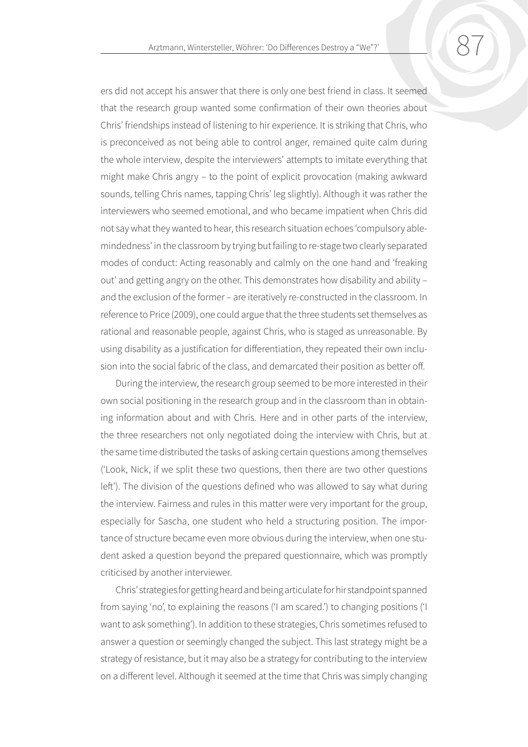ers did not accept his answer that there is only one best friend in class. It seemed that the research group wanted some confirmation of their own theories about Chris' friendships instead of listening to hir experience. It is striking that Chris, who is preconceived as not being able to control anger, remained quite calm during the whole interview, despite the interviewers' attempts to imitate everything that might make Chris angry – to the point of explicit provocation (making awkward sounds, telling Chris names, tapping Chris' leg slightly). Although it was rather the interviewers who seemed emotional, and who became impatient when Chris did not say what they wanted to hear, this research situation echoes 'compulsory ablemindedness' in the classroom by trying but failing to re-stage two clearly separated modes of conduct: Acting reasonably and calmly on the one hand and 'freaking out' and getting angry on the other. This demonstrates how disability and ability – and the exclusion of the former – are iteratively re-constructed in the classroom. In reference to Price (2009), one could argue that the three students set themselves as rational and reasonable people, against Chris, who is staged as unreasonable. By using disability as a justification for differentiation, they repeated their own inclusion into the social fabric of the class, and demarcated their position as better off.

During the interview, the research group seemed to be more interested in their own social positioning in the research group and in the classroom than in obtaining information about and with Chris. Here and in other parts of the interview, the three researchers not only negotiated doing the interview with Chris, but at the same time distributed the tasks of asking certain questions among themselves ('Look, Nick, if we split these two questions, then there are two other questions left'). The division of the questions defined who was allowed to say what during the interview. Fairness and rules in this matter were very important for the group, especially for Sascha, one student who held a structuring position. The importance of structure became even more obvious during the interview, when one student asked a question beyond the prepared questionnaire, which was promptly criticised by another interviewer.

Chris' strategies for getting heard and being articulate for hir standpoint spanned from saying 'no', to explaining the reasons ('I am scared.') to changing positions ('I want to ask something'). In addition to these strategies, Chris sometimes refused to answer a question or seemingly changed the subject. This last strategy might be a strategy of resistance, but it may also be a strategy for contributing to the interview on a different level. Although it seemed at the time that Chris was simply changing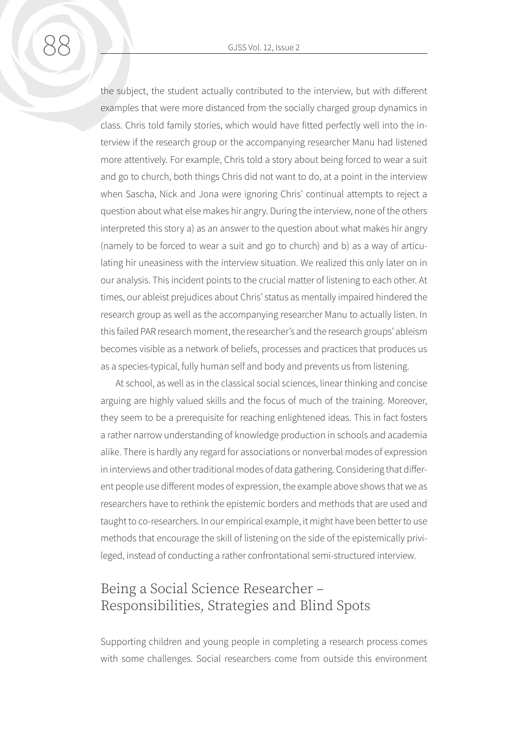the subject, the student actually contributed to the interview, but with different examples that were more distanced from the socially charged group dynamics in

class. Chris told family stories, which would have fitted perfectly well into the interview if the research group or the accompanying researcher Manu had listened more attentively. For example, Chris told a story about being forced to wear a suit and go to church, both things Chris did not want to do, at a point in the interview when Sascha, Nick and Jona were ignoring Chris' continual attempts to reject a question about what else makes hir angry. During the interview, none of the others interpreted this story a) as an answer to the question about what makes hir angry (namely to be forced to wear a suit and go to church) and b) as a way of articulating hir uneasiness with the interview situation. We realized this only later on in our analysis. This incident points to the crucial matter of listening to each other. At times, our ableist prejudices about Chris' status as mentally impaired hindered the research group as well as the accompanying researcher Manu to actually listen. In this failed PAR research moment, the researcher's and the research groups' ableism becomes visible as a network of beliefs, processes and practices that produces us as a species-typical, fully human self and body and prevents us from listening.

At school, as well as in the classical social sciences, linear thinking and concise arguing are highly valued skills and the focus of much of the training. Moreover, they seem to be a prerequisite for reaching enlightened ideas. This in fact fosters a rather narrow understanding of knowledge production in schools and academia alike. There is hardly any regard for associations or nonverbal modes of expression in interviews and other traditional modes of data gathering. Considering that different people use different modes of expression, the example above shows that we as researchers have to rethink the epistemic borders and methods that are used and taught to co-researchers. In our empirical example, it might have been better to use methods that encourage the skill of listening on the side of the epistemically privileged, instead of conducting a rather confrontational semi-structured interview.

## Being a Social Science Researcher – Responsibilities, Strategies and Blind Spots

Supporting children and young people in completing a research process comes with some challenges. Social researchers come from outside this environment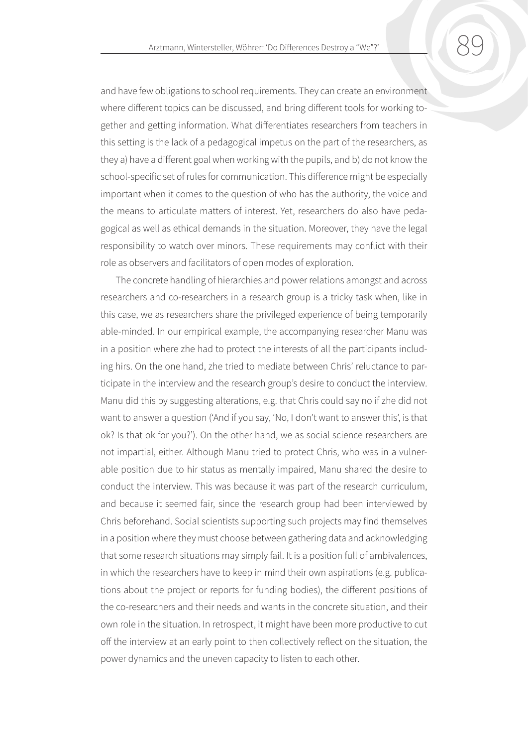and have few obligations to school requirements. They can create an environment where different topics can be discussed, and bring different tools for working together and getting information. What differentiates researchers from teachers in this setting is the lack of a pedagogical impetus on the part of the researchers, as they a) have a different goal when working with the pupils, and b) do not know the school-specific set of rules for communication. This difference might be especially important when it comes to the question of who has the authority, the voice and the means to articulate matters of interest. Yet, researchers do also have pedagogical as well as ethical demands in the situation. Moreover, they have the legal responsibility to watch over minors. These requirements may conflict with their role as observers and facilitators of open modes of exploration.

The concrete handling of hierarchies and power relations amongst and across researchers and co-researchers in a research group is a tricky task when, like in this case, we as researchers share the privileged experience of being temporarily able-minded. In our empirical example, the accompanying researcher Manu was in a position where zhe had to protect the interests of all the participants including hirs. On the one hand, zhe tried to mediate between Chris' reluctance to participate in the interview and the research group's desire to conduct the interview. Manu did this by suggesting alterations, e.g. that Chris could say no if zhe did not want to answer a question ('And if you say, 'No, I don't want to answer this', is that ok? Is that ok for you?'). On the other hand, we as social science researchers are not impartial, either. Although Manu tried to protect Chris, who was in a vulnerable position due to hir status as mentally impaired, Manu shared the desire to conduct the interview. This was because it was part of the research curriculum, and because it seemed fair, since the research group had been interviewed by Chris beforehand. Social scientists supporting such projects may find themselves in a position where they must choose between gathering data and acknowledging that some research situations may simply fail. It is a position full of ambivalences, in which the researchers have to keep in mind their own aspirations (e.g. publications about the project or reports for funding bodies), the different positions of the co-researchers and their needs and wants in the concrete situation, and their own role in the situation. In retrospect, it might have been more productive to cut off the interview at an early point to then collectively reflect on the situation, the power dynamics and the uneven capacity to listen to each other.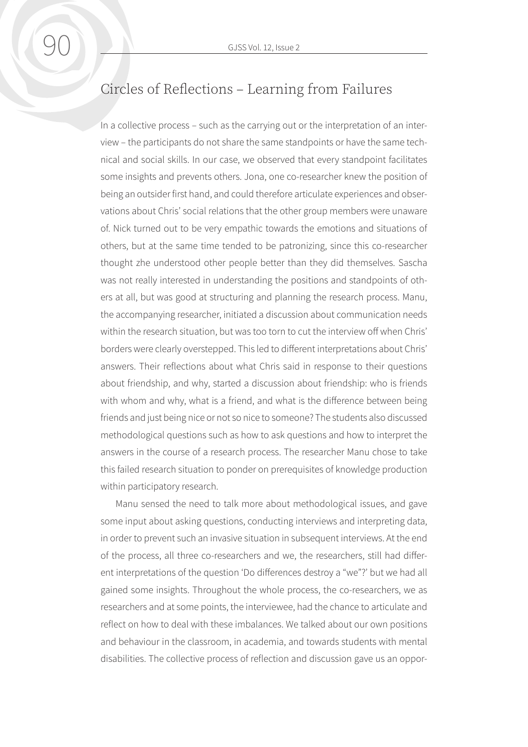## Circles of Reflections – Learning from Failures

In a collective process – such as the carrying out or the interpretation of an interview – the participants do not share the same standpoints or have the same technical and social skills. In our case, we observed that every standpoint facilitates some insights and prevents others. Jona, one co-researcher knew the position of being an outsider first hand, and could therefore articulate experiences and observations about Chris' social relations that the other group members were unaware of. Nick turned out to be very empathic towards the emotions and situations of others, but at the same time tended to be patronizing, since this co-researcher thought zhe understood other people better than they did themselves. Sascha was not really interested in understanding the positions and standpoints of others at all, but was good at structuring and planning the research process. Manu, the accompanying researcher, initiated a discussion about communication needs within the research situation, but was too torn to cut the interview off when Chris' borders were clearly overstepped. This led to different interpretations about Chris' answers. Their reflections about what Chris said in response to their questions about friendship, and why, started a discussion about friendship: who is friends with whom and why, what is a friend, and what is the difference between being friends and just being nice or not so nice to someone? The students also discussed methodological questions such as how to ask questions and how to interpret the answers in the course of a research process. The researcher Manu chose to take this failed research situation to ponder on prerequisites of knowledge production within participatory research.

Manu sensed the need to talk more about methodological issues, and gave some input about asking questions, conducting interviews and interpreting data, in order to prevent such an invasive situation in subsequent interviews. At the end of the process, all three co-researchers and we, the researchers, still had different interpretations of the question 'Do differences destroy a "we"?' but we had all gained some insights. Throughout the whole process, the co-researchers, we as researchers and at some points, the interviewee, had the chance to articulate and reflect on how to deal with these imbalances. We talked about our own positions and behaviour in the classroom, in academia, and towards students with mental disabilities. The collective process of reflection and discussion gave us an oppor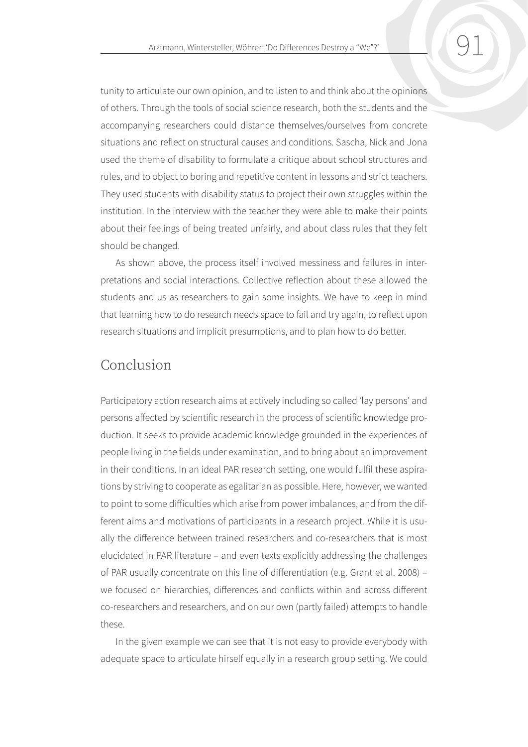tunity to articulate our own opinion, and to listen to and think about the opinions

of others. Through the tools of social science research, both the students and the accompanying researchers could distance themselves/ourselves from concrete situations and reflect on structural causes and conditions. Sascha, Nick and Jona used the theme of disability to formulate a critique about school structures and rules, and to object to boring and repetitive content in lessons and strict teachers. They used students with disability status to project their own struggles within the institution. In the interview with the teacher they were able to make their points about their feelings of being treated unfairly, and about class rules that they felt should be changed.

As shown above, the process itself involved messiness and failures in interpretations and social interactions. Collective reflection about these allowed the students and us as researchers to gain some insights. We have to keep in mind that learning how to do research needs space to fail and try again, to reflect upon research situations and implicit presumptions, and to plan how to do better.

#### Conclusion

Participatory action research aims at actively including so called 'lay persons' and persons affected by scientific research in the process of scientific knowledge production. It seeks to provide academic knowledge grounded in the experiences of people living in the fields under examination, and to bring about an improvement in their conditions. In an ideal PAR research setting, one would fulfil these aspirations by striving to cooperate as egalitarian as possible. Here, however, we wanted to point to some difficulties which arise from power imbalances, and from the different aims and motivations of participants in a research project. While it is usually the difference between trained researchers and co-researchers that is most elucidated in PAR literature – and even texts explicitly addressing the challenges of PAR usually concentrate on this line of differentiation (e.g. Grant et al. 2008) – we focused on hierarchies, differences and conflicts within and across different co-researchers and researchers, and on our own (partly failed) attempts to handle these.

In the given example we can see that it is not easy to provide everybody with adequate space to articulate hirself equally in a research group setting. We could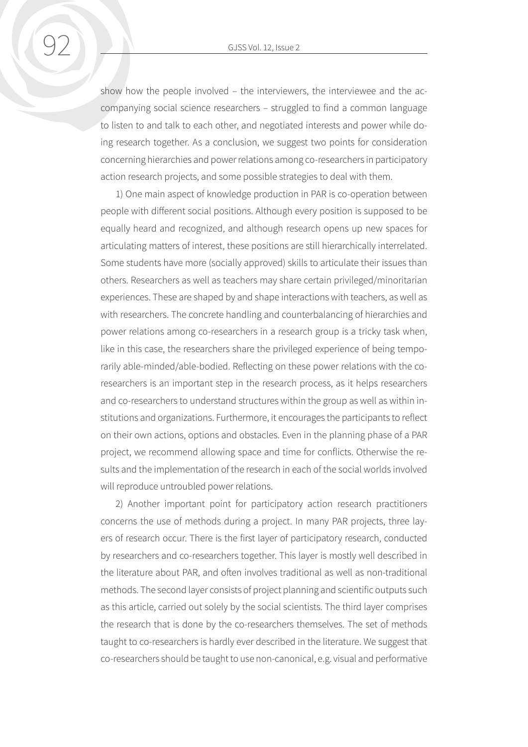show how the people involved – the interviewers, the interviewee and the accompanying social science researchers – struggled to find a common language to listen to and talk to each other, and negotiated interests and power while doing research together. As a conclusion, we suggest two points for consideration concerning hierarchies and power relations among co-researchers in participatory action research projects, and some possible strategies to deal with them.

1) One main aspect of knowledge production in PAR is co-operation between people with different social positions. Although every position is supposed to be equally heard and recognized, and although research opens up new spaces for articulating matters of interest, these positions are still hierarchically interrelated. Some students have more (socially approved) skills to articulate their issues than others. Researchers as well as teachers may share certain privileged/minoritarian experiences. These are shaped by and shape interactions with teachers, as well as with researchers. The concrete handling and counterbalancing of hierarchies and power relations among co-researchers in a research group is a tricky task when, like in this case, the researchers share the privileged experience of being temporarily able-minded/able-bodied. Reflecting on these power relations with the coresearchers is an important step in the research process, as it helps researchers and co-researchers to understand structures within the group as well as within institutions and organizations. Furthermore, it encourages the participants to reflect on their own actions, options and obstacles. Even in the planning phase of a PAR project, we recommend allowing space and time for conflicts. Otherwise the results and the implementation of the research in each of the social worlds involved will reproduce untroubled power relations.

2) Another important point for participatory action research practitioners concerns the use of methods during a project. In many PAR projects, three layers of research occur. There is the first layer of participatory research, conducted by researchers and co-researchers together. This layer is mostly well described in the literature about PAR, and often involves traditional as well as non-traditional methods. The second layer consists of project planning and scientific outputs such as this article, carried out solely by the social scientists. The third layer comprises the research that is done by the co-researchers themselves. The set of methods taught to co-researchers is hardly ever described in the literature. We suggest that co-researchers should be taught to use non-canonical, e.g. visual and performative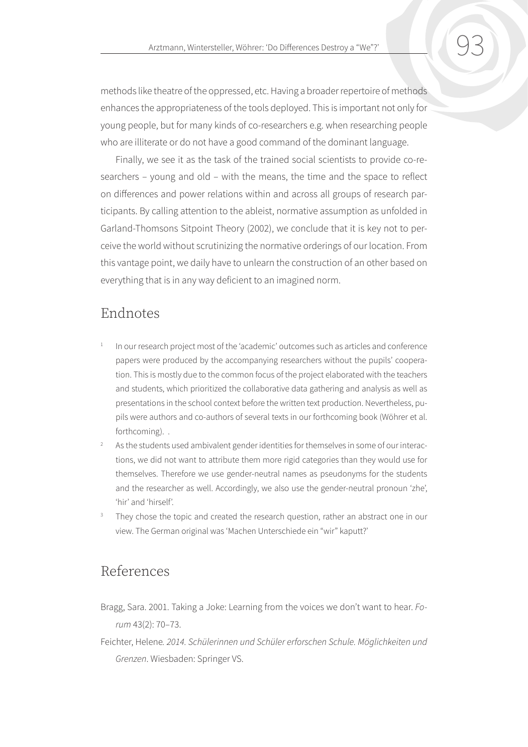methods like theatre of the oppressed, etc. Having a broader repertoire of methods enhances the appropriateness of the tools deployed. This is important not only for young people, but for many kinds of co-researchers e.g. when researching people who are illiterate or do not have a good command of the dominant language.

Finally, we see it as the task of the trained social scientists to provide co-researchers – young and old – with the means, the time and the space to reflect on differences and power relations within and across all groups of research participants. By calling attention to the ableist, normative assumption as unfolded in Garland-Thomsons Sitpoint Theory (2002), we conclude that it is key not to perceive the world without scrutinizing the normative orderings of our location. From this vantage point, we daily have to unlearn the construction of an other based on everything that is in any way deficient to an imagined norm.

#### Endnotes

- In our research project most of the 'academic' outcomes such as articles and conference papers were produced by the accompanying researchers without the pupils' cooperation. This is mostly due to the common focus of the project elaborated with the teachers and students, which prioritized the collaborative data gathering and analysis as well as presentations in the school context before the written text production. Nevertheless, pupils were authors and co-authors of several texts in our forthcoming book (Wöhrer et al. forthcoming). .
- <sup>2</sup> As the students used ambivalent gender identities for themselves in some of our interactions, we did not want to attribute them more rigid categories than they would use for themselves. Therefore we use gender-neutral names as pseudonyms for the students and the researcher as well. Accordingly, we also use the gender-neutral pronoun 'zhe', 'hir' and 'hirself'.
- They chose the topic and created the research question, rather an abstract one in our view. The German original was 'Machen Unterschiede ein "wir" kaputt?'

#### References

- Bragg, Sara. 2001. Taking a Joke: Learning from the voices we don't want to hear. *Forum* 43(2): 70–73.
- Feichter, Helene*. 2014. Schülerinnen und Schüler erforschen Schule. Möglichkeiten und Grenzen*. Wiesbaden: Springer VS.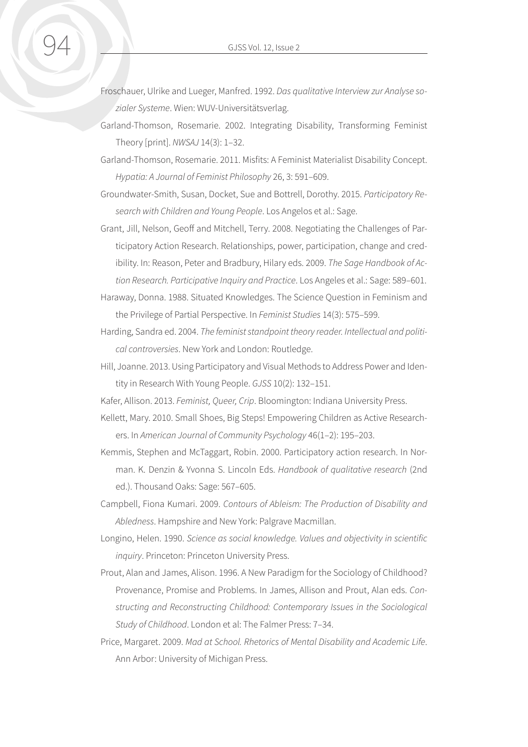Froschauer, Ulrike and Lueger, Manfred. 1992. *Das qualitative Interview zur Analyse sozialer Systeme*. Wien: WUV-Universitätsverlag.

- Garland-Thomson, Rosemarie. 2002. Integrating Disability, Transforming Feminist Theory [print]. *NWSAJ* 14(3): 1–32.
- Garland-Thomson, Rosemarie. 2011. Misfits: A Feminist Materialist Disability Concept. *Hypatia: A Journal of Feminist Philosophy* 26, 3: 591–609.

Groundwater-Smith, Susan, Docket, Sue and Bottrell, Dorothy. 2015. *Participatory Research with Children and Young People*. Los Angelos et al.: Sage.

Grant, Jill, Nelson, Geoff and Mitchell, Terry. 2008. Negotiating the Challenges of Participatory Action Research. Relationships, power, participation, change and credibility. In: Reason, Peter and Bradbury, Hilary eds. 2009. *The Sage Handbook of Action Research. Participative Inquiry and Practice*. Los Angeles et al.: Sage: 589–601.

- Haraway, Donna. 1988. Situated Knowledges. The Science Question in Feminism and the Privilege of Partial Perspective. In *Feminist Studies* 14(3): 575–599.
- Harding, Sandra ed. 2004. *The feminist standpoint theory reader. Intellectual and political controversies*. New York and London: Routledge.
- Hill, Joanne. 2013. Using Participatory and Visual Methods to Address Power and Identity in Research With Young People. *GJSS* 10(2): 132–151.
- Kafer, Allison. 2013. *Feminist, Queer, Crip*. Bloomington: Indiana University Press.
- Kellett, Mary. 2010. Small Shoes, Big Steps! Empowering Children as Active Researchers. In *American Journal of Community Psychology* 46(1–2): 195–203.
- Kemmis, Stephen and McTaggart, Robin. 2000. Participatory action research. In Norman. K. Denzin & Yvonna S. Lincoln Eds. *Handbook of qualitative research* (2nd ed.). Thousand Oaks: Sage: 567–605.
- Campbell, Fiona Kumari. 2009. *Contours of Ableism: The Production of Disability and Abledness*. Hampshire and New York: Palgrave Macmillan.
- Longino, Helen. 1990. *Science as social knowledge. Values and objectivity in scientific inquiry*. Princeton: Princeton University Press.
- Prout, Alan and James, Alison. 1996. A New Paradigm for the Sociology of Childhood? Provenance, Promise and Problems. In James, Allison and Prout, Alan eds. *Constructing and Reconstructing Childhood: Contemporary Issues in the Sociological Study of Childhood*. London et al: The Falmer Press: 7–34.
- Price, Margaret. 2009. *Mad at School. Rhetorics of Mental Disability and Academic Life*. Ann Arbor: University of Michigan Press.